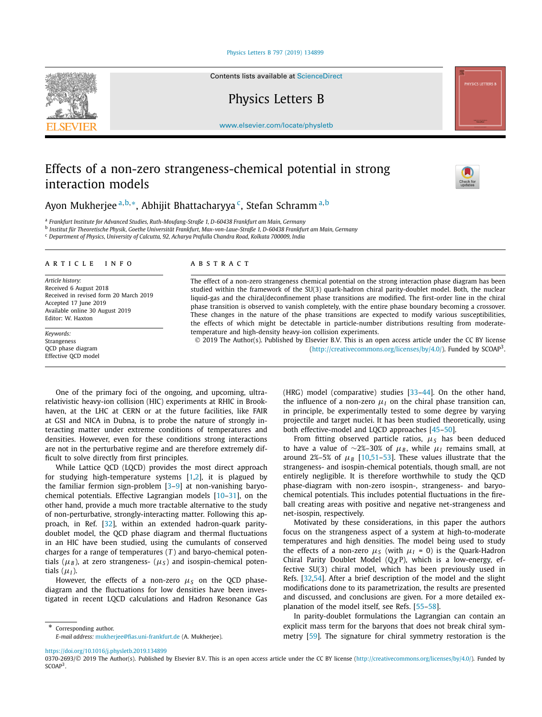## [Physics Letters B 797 \(2019\) 134899](https://doi.org/10.1016/j.physletb.2019.134899)

Contents lists available at [ScienceDirect](http://www.ScienceDirect.com/)

Physics Letters B

[www.elsevier.com/locate/physletb](http://www.elsevier.com/locate/physletb)

# Effects of a non-zero strangeness-chemical potential in strong interaction models



Ayon Mukherjee <sup>a</sup>*,*b*,*∗, Abhijit Bhattacharyya c, Stefan Schramm <sup>a</sup>*,*<sup>b</sup>

<sup>a</sup> *Frankfurt Institute for Advanced Studies, Ruth-Moufang-Straße 1, D-60438 Frankfurt am Main, Germany*

<sup>b</sup> *Institut für Theoretische Physik, Goethe Universität Frankfurt, Max-von-Laue-Straße 1, D-60438 Frankfurt am Main, Germany*

<sup>c</sup> *Department of Physics, University of Calcutta, 92, Acharya Prafulla Chandra Road, Kolkata 700009, India*

### A R T I C L E I N F O A B S T R A C T

*Article history:* Received 6 August 2018 Received in revised form 20 March 2019 Accepted 17 June 2019 Available online 30 August 2019 Editor: W. Haxton

*Keywords:* Strangeness QCD phase diagram Effective QCD model

The effect of a non-zero strangeness chemical potential on the strong interaction phase diagram has been studied within the framework of the SU(3) quark-hadron chiral parity-doublet model. Both, the nuclear liquid-gas and the chiral/deconfinement phase transitions are modified. The first-order line in the chiral phase transition is observed to vanish completely, with the entire phase boundary becoming a crossover. These changes in the nature of the phase transitions are expected to modify various susceptibilities, the effects of which might be detectable in particle-number distributions resulting from moderatetemperature and high-density heavy-ion collision experiments.

© 2019 The Author(s). Published by Elsevier B.V. This is an open access article under the CC BY license [\(http://creativecommons.org/licenses/by/4.0/\)](http://creativecommons.org/licenses/by/4.0/). Funded by  $SCOAP<sup>3</sup>$ .

One of the primary foci of the ongoing, and upcoming, ultrarelativistic heavy-ion collision (HIC) experiments at RHIC in Brookhaven, at the LHC at CERN or at the future facilities, like FAIR at GSI and NICA in Dubna, is to probe the nature of strongly interacting matter under extreme conditions of temperatures and densities. However, even for these conditions strong interactions are not in the perturbative regime and are therefore extremely difficult to solve directly from first principles.

While Lattice QCD (LQCD) provides the most direct approach for studying high-temperature systems [\[1,2\]](#page-4-0), it is plagued by the familiar fermion sign-problem [\[3–9\]](#page-4-0) at non-vanishing baryochemical potentials. Effective Lagrangian models [\[10–31\]](#page-5-0), on the other hand, provide a much more tractable alternative to the study of non-perturbative, strongly-interacting matter. Following this approach, in Ref. [\[32\]](#page-5-0), within an extended hadron-quark paritydoublet model, the QCD phase diagram and thermal fluctuations in an HIC have been studied, using the cumulants of conserved charges for a range of temperatures (*T* ) and baryo-chemical potentials ( $\mu$ *B*), at zero strangeness- ( $\mu$ *S*) and isospin-chemical potentials  $(\mu_I)$ .

However, the effects of a non-zero  $\mu_S$  on the QCD phasediagram and the fluctuations for low densities have been investigated in recent LQCD calculations and Hadron Resonance Gas

Corresponding author.

*E-mail address:* [mukherjee@fias.uni-frankfurt.de](mailto:mukherjee@fias.uni-frankfurt.de) (A. Mukherjee).

(HRG) model (comparative) studies [\[33–44\]](#page-5-0). On the other hand, the influence of a non-zero  $\mu_I$  on the chiral phase transition can, in principle, be experimentally tested to some degree by varying projectile and target nuclei. It has been studied theoretically, using both effective-model and LQCD approaches [\[45–50\]](#page-5-0).

From fitting observed particle ratios, *μ<sup>S</sup>* has been deduced to have a value of ~2%–30% of  $\mu_B$ , while  $\mu_I$  remains small, at around 2%–5% of  $\mu_B$  [\[10,51–53\]](#page-5-0). These values illustrate that the strangeness- and isospin-chemical potentials, though small, are not entirely negligible. It is therefore worthwhile to study the QCD phase-diagram with non-zero isospin-, strangeness- and baryochemical potentials. This includes potential fluctuations in the fireball creating areas with positive and negative net-strangeness and net-isospin, respectively.

Motivated by these considerations, in this paper the authors focus on the strangeness aspect of a system at high-to-moderate temperatures and high densities. The model being used to study the effects of a non-zero  $\mu_S$  (with  $\mu_I = 0$ ) is the Quark-Hadron Chiral Parity Doublet Model (Q*χ*P), which is a low-energy, effective SU(3) chiral model, which has been previously used in Refs. [\[32,54\]](#page-5-0). After a brief description of the model and the slight modifications done to its parametrization, the results are presented and discussed, and conclusions are given. For a more detailed explanation of the model itself, see Refs. [\[55–58\]](#page-5-0).

In parity-doublet formulations the Lagrangian can contain an explicit mass term for the baryons that does not break chiral symmetry [\[59\]](#page-5-0). The signature for chiral symmetry restoration is the



<https://doi.org/10.1016/j.physletb.2019.134899>

<sup>0370-2693/© 2019</sup> The Author(s). Published by Elsevier B.V. This is an open access article under the CC BY license [\(http://creativecommons.org/licenses/by/4.0/\)](http://creativecommons.org/licenses/by/4.0/). Funded by SCOAP<sup>3</sup>.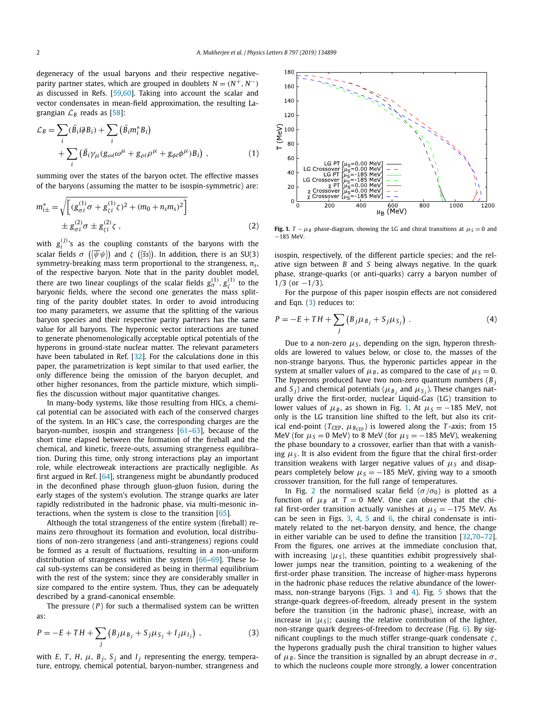<span id="page-1-0"></span>degeneracy of the usual baryons and their respective negativeparity partner states, which are grouped in doublets  $N = (N^+, N^-)$ as discussed in Refs. [\[59,60\]](#page-5-0). Taking into account the scalar and vector condensates in mean-field approximation, the resulting Lagrangian  $\mathcal{L}_B$  reads as [\[58\]](#page-5-0):

$$
\mathcal{L}_B = \sum_i (\bar{B}_i i \partial B_i) + \sum_i (\bar{B}_i m_i^* B_i) + \sum_i (\bar{B}_i \gamma_\mu (g_{\omega i} \omega^\mu + g_{\rho i} \rho^\mu + g_{\phi i} \phi^\mu) B_i) ,
$$
\n(1)

summing over the states of the baryon octet. The effective masses of the baryons (assuming the matter to be isospin-symmetric) are:

$$
m_{i\pm}^{*} = \sqrt{\left[ (g_{\sigma i}^{(1)} \sigma + g_{\zeta i}^{(1)} \zeta)^{2} + (m_{0} + n_{s} m_{s})^{2} \right]}
$$
  
 
$$
\pm g_{\sigma i}^{(2)} \sigma \pm g_{\zeta i}^{(2)} \zeta , \qquad (2)
$$

with  $g_i^{(j)}$ 's as the coupling constants of the baryons with the scalar fields  $\sigma$   $(\overline{\psi}\psi)$  and  $\zeta$   $(\overline{\langle s s \rangle})$ . In addition, there is an SU(3) symmetry-breaking mass term proportional to the strangeness, *ns* , of the respective baryon. Note that in the parity doublet model, there are two linear couplings of the scalar fields  $g_{\sigma}^{(1)}, g_{\zeta}^{(1)}$  to the baryonic fields, where the second one generates the mass splitting of the parity doublet states. In order to avoid introducing too many parameters, we assume that the splitting of the various baryon species and their respective parity partners has the same value for all baryons. The hyperonic vector interactions are tuned to generate phenomenologically acceptable optical potentials of the hyperons in ground-state nuclear matter. The relevant parameters have been tabulated in Ref. [\[32\]](#page-5-0). For the calculations done in this paper, the parametrization is kept similar to that used earlier, the only difference being the omission of the baryon decuplet, and other higher resonances, from the particle mixture, which simplifies the discussion without major quantitative changes.

In many-body systems, like those resulting from HICs, a chemical potential can be associated with each of the conserved charges of the system. In an HIC's case, the corresponding charges are the baryon-number, isospin and strangeness [\[61–](#page-5-0)[63\]](#page-6-0), because of the short time elapsed between the formation of the fireball and the chemical, and kinetic, freeze-outs, assuming strangeness equilibration. During this time, only strong interactions play an important role, while electroweak interactions are practically negligible. As first argued in Ref. [\[64\]](#page-6-0), strangeness might be abundantly produced in the deconfined phase through gluon-gluon fusion, during the early stages of the system's evolution. The strange quarks are later rapidly redistributed in the hadronic phase, via multi-mesonic interactions, when the system is close to the transition [\[65\]](#page-6-0).

Although the total strangeness of the entire system (fireball) remains zero throughout its formation and evolution, local distributions of non-zero strangeness (and anti-strangeness) regions could be formed as a result of fluctuations, resulting in a non-uniform distribution of strangeness within the system [\[66–69\]](#page-6-0). These local sub-systems can be considered as being in thermal equilibrium with the rest of the system; since they are considerably smaller in size compared to the entire system. Thus, they can be adequately described by a grand-canonical ensemble.

The pressure (*P* ) for such a thermalised system can be written as:

$$
P = -E + TH + \sum_{j} (B_j \mu_{B_j} + S_j \mu_{S_j} + I_j \mu_{I_j}), \qquad (3)
$$

with *E*, *T*, *H*,  $\mu$ ,  $B_i$ ,  $S_i$  and  $I_i$  representing the energy, temperature, entropy, chemical potential, baryon-number, strangeness and



**Fig. 1.**  $T - \mu_B$  phase-diagram, showing the LG and chiral transitions at  $\mu_S = 0$  and −185 MeV.

isospin, respectively, of the different particle species; and the relative sign between *B* and *S* being always negative. In the quark phase, strange-quarks (or anti-quarks) carry a baryon number of 1*/*3 (or −1*/*3).

For the purpose of this paper isospin effects are not considered and Eqn. (3) reduces to:

$$
P = -E + TH + \sum_{j} (B_j \mu_{B_j} + S_j \mu_{S_j}) .
$$
 (4)

Due to a non-zero  $\mu_S$ , depending on the sign, hyperon thresholds are lowered to values below, or close to, the masses of the non-strange baryons. Thus, the hyperonic particles appear in the system at smaller values of  $\mu_B$ , as compared to the case of  $\mu_S = 0$ . The hyperons produced have two non-zero quantum numbers (*B <sup>j</sup>* and  $S_j$ ) and chemical potentials ( $\mu_{B_j}$  and  $\mu_{S_j}$ ). These changes naturally drive the first-order, nuclear Liquid-Gas (LG) transition to lower values of  $\mu_B$ , as shown in Fig. 1. At  $\mu_S = -185$  MeV, not only is the LG transition line shifted to the left, but also its critical end-point ( $T_{\text{CEP}}$ ,  $\mu_{B_{\text{CEP}}}$ ) is lowered along the *T*-axis; from 15 MeV (for  $\mu$ <sub>S</sub> = 0 MeV) to 8 MeV (for  $\mu$ <sub>S</sub> = -185 MeV), weakening the phase boundary to a crossover, earlier than that with a vanishing  $\mu<sub>S</sub>$ . It is also evident from the figure that the chiral first-order transition weakens with larger negative values of  $\mu<sub>S</sub>$  and disappears completely below  $\mu$ <sub>S</sub> = −185 MeV, giving way to a smooth crossover transition, for the full range of temperatures.

In Fig. [2](#page-2-0) the normalised scalar field  $(\sigma/\sigma_0)$  is plotted as a function of  $\mu_B$  at  $T = 0$  MeV. One can observe that the chiral first-order transition actually vanishes at  $\mu$ <sub>S</sub> = −175 MeV. As can be seen in Figs. [3,](#page-2-0) [4,](#page-2-0) [5](#page-2-0) and [6,](#page-2-0) the chiral condensate is intimately related to the net-baryon density, and hence, the change in either variable can be used to define the transition [\[32](#page-5-0)[,70–72\]](#page-6-0). From the figures, one arrives at the immediate conclusion that, with increasing  $|\mu_S|$ , these quantities exhibit progressively shallower jumps near the transition, pointing to a weakening of the first-order phase transition. The increase of higher-mass hyperons in the hadronic phase reduces the relative abundance of the lowermass, non-strange baryons (Figs. [3](#page-2-0) and [4\)](#page-2-0). Fig. [5](#page-2-0) shows that the strange-quark degrees-of-freedom, already present in the system before the transition (in the hadronic phase), increase, with an increase in  $|\mu_S|$ ; causing the relative contribution of the lighter, non-strange quark degrees-of-freedom to decrease (Fig. [6\)](#page-2-0). By significant couplings to the much stiffer strange-quark condensate *ζ* , the hyperons gradually push the chiral transition to higher values of  $\mu_B$ . Since the transition is signalled by an abrupt decrease in  $\sigma$ , to which the nucleons couple more strongly, a lower concentration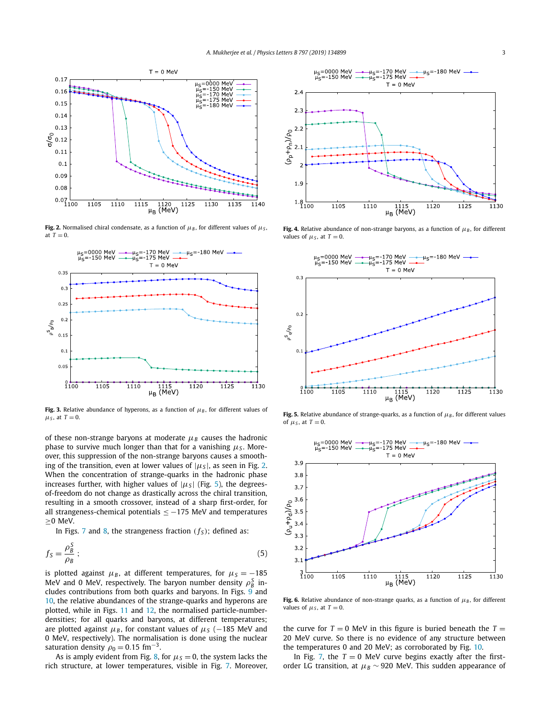<span id="page-2-0"></span>

**Fig. 2.** Normalised chiral condensate, as a function of  $\mu_B$ , for different values of  $\mu_S$ , at  $\overline{T} = 0$ .



Fig. 3. Relative abundance of hyperons, as a function of  $\mu_B$ , for different values of  $\mu_S$ , at  $T = 0$ .

of these non-strange baryons at moderate  $\mu_B$  causes the hadronic phase to survive much longer than that for a vanishing  $\mu_S$ . Moreover, this suppression of the non-strange baryons causes a smoothing of the transition, even at lower values of  $|\mu<sub>S</sub>|$ , as seen in Fig. 2. When the concentration of strange-quarks in the hadronic phase increases further, with higher values of  $|\mu_5|$  (Fig. 5), the degreesof-freedom do not change as drastically across the chiral transition, resulting in a smooth crossover, instead of a sharp first-order, for all strangeness-chemical potentials  $\leq -175$  MeV and temperatures  $\geq$ 0 MeV.

In Figs. [7](#page-3-0) and [8,](#page-3-0) the strangeness fraction  $(f<sub>S</sub>)$ ; defined as:

$$
f_S = \frac{\rho_B^S}{\rho_B} \tag{5}
$$

is plotted against  $\mu_B$ , at different temperatures, for  $\mu_S = -185$ MeV and 0 MeV, respectively. The baryon number density  $\rho_B^S$  includes contributions from both quarks and baryons. In Figs. [9](#page-3-0) and [10,](#page-3-0) the relative abundances of the strange-quarks and hyperons are plotted, while in Figs. [11](#page-3-0) and [12,](#page-4-0) the normalised particle-numberdensities; for all quarks and baryons, at different temperatures; are plotted against  $\mu_B$ , for constant values of  $\mu_S$  (−185 MeV and 0 MeV, respectively). The normalisation is done using the nuclear saturation density  $\rho_0 = 0.15$  fm<sup>-3</sup>.

As is amply evident from Fig. [8,](#page-3-0) for  $\mu$ <sub>S</sub> = 0, the system lacks the rich structure, at lower temperatures, visible in Fig. [7.](#page-3-0) Moreover,



**Fig. 4.** Relative abundance of non-strange baryons, as a function of  $\mu_B$ , for different values of  $\mu_S$ , at  $T = 0$ .



**Fig. 5.** Relative abundance of strange-quarks, as a function of  $\mu_B$ , for different values of  $\mu_S$ , at  $T = 0$ .



Fig. 6. Relative abundance of non-strange quarks, as a function of  $\mu_B$ , for different values of  $\mu_S$ , at  $T = 0$ .

the curve for  $T = 0$  MeV in this figure is buried beneath the  $T =$ 20 MeV curve. So there is no evidence of any structure between the temperatures 0 and 20 MeV; as corroborated by Fig. [10.](#page-3-0)

In Fig. [7,](#page-3-0) the  $T = 0$  MeV curve begins exactly after the firstorder LG transition, at  $\mu_B \sim 920$  MeV. This sudden appearance of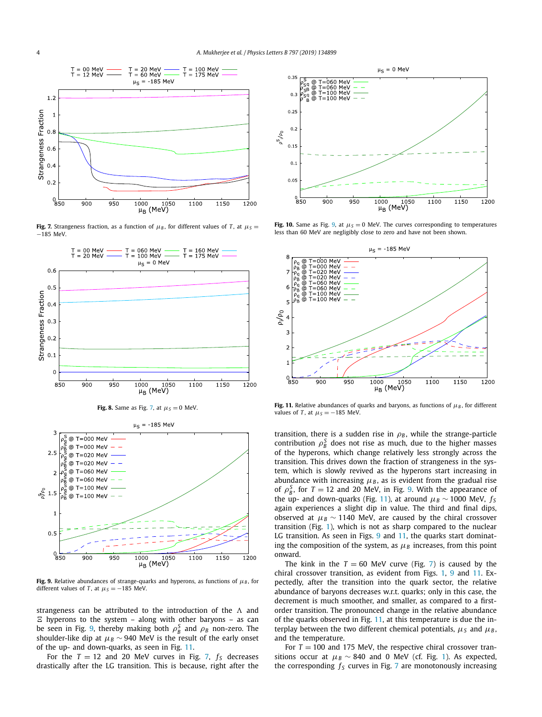<span id="page-3-0"></span>

**Fig. 7.** Strangeness fraction, as a function of  $\mu_B$ , for different values of *T*, at  $\mu_S$  = −185 MeV.







**Fig. 9.** Relative abundances of strange-quarks and hyperons, as functions of  $\mu_B$ , for different values of *T*, at  $\mu$ <sub>*S*</sub> = −185 MeV.

strangeness can be attributed to the introduction of the  $\Lambda$  and  $E$  hyperons to the system – along with other baryons – as can be seen in Fig. 9, thereby making both  $\rho_B^S$  and  $\rho_B$  non-zero. The shoulder-like dip at  $\mu_B \sim 940$  MeV is the result of the early onset of the up- and down-quarks, as seen in Fig. 11.

For the  $T = 12$  and 20 MeV curves in Fig. 7,  $f_s$  decreases drastically after the LG transition. This is because, right after the



**Fig. 10.** Same as Fig. 9, at  $\mu$ <sub>S</sub> = 0 MeV. The curves corresponding to temperatures less than 60 MeV are negligibly close to zero and have not been shown.



**Fig. 11.** Relative abundances of quarks and baryons, as functions of  $\mu_B$ , for different values of *T*, at  $\mu$ <sub>S</sub> = −185 MeV.

transition, there is a sudden rise in  $\rho_B$ , while the strange-particle contribution  $\rho_B^S$  does not rise as much, due to the higher masses of the hyperons, which change relatively less strongly across the transition. This drives down the fraction of strangeness in the system, which is slowly revived as the hyperons start increasing in abundance with increasing  $\mu_B$ , as is evident from the gradual rise of  $\rho_B^S$ , for  $T = 12$  and 20 MeV, in Fig. 9. With the appearance of the up- and down-quarks (Fig. 11), at around  $\mu_B \sim 1000$  MeV,  $f_S$ again experiences a slight dip in value. The third and final dips, observed at  $\mu_B \sim 1140$  MeV, are caused by the chiral crossover transition (Fig. [1\)](#page-1-0), which is not as sharp compared to the nuclear LG transition. As seen in Figs. 9 and 11, the quarks start dominating the composition of the system, as  $\mu_B$  increases, from this point onward.

The kink in the  $T = 60$  MeV curve (Fig. 7) is caused by the chiral crossover transition, as evident from Figs. [1,](#page-1-0) 9 and 11. Expectedly, after the transition into the quark sector, the relative abundance of baryons decreases w.r.t. quarks; only in this case, the decrement is much smoother, and smaller, as compared to a firstorder transition. The pronounced change in the relative abundance of the quarks observed in Fig. 11, at this temperature is due the interplay between the two different chemical potentials,  $\mu_S$  and  $\mu_B$ , and the temperature.

For  $T = 100$  and 175 MeV, the respective chiral crossover transitions occur at  $\mu_B \sim 840$  and 0 MeV (cf. Fig. [1\)](#page-1-0). As expected, the corresponding  $f_s$  curves in Fig. 7 are monotonously increasing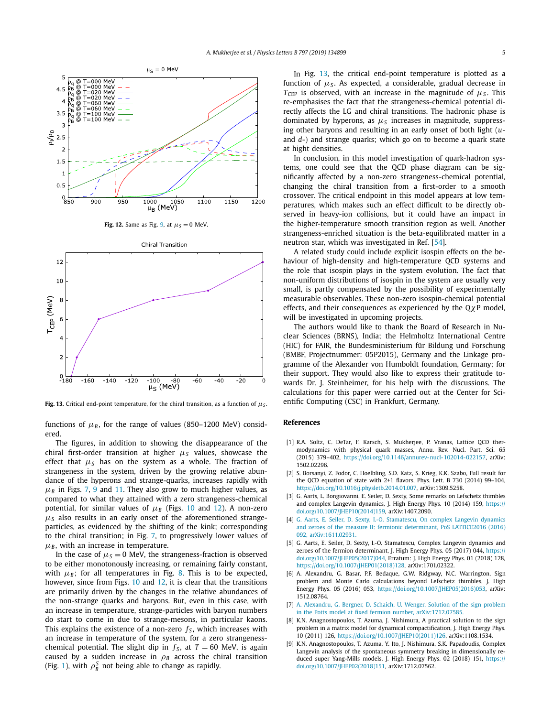<span id="page-4-0"></span>





**Fig. 13.** Critical end-point temperature, for the chiral transition, as a function of *μ<sup>S</sup>* .

functions of  $\mu_B$ , for the range of values (850–1200 MeV) considered.

The figures, in addition to showing the disappearance of the chiral first-order transition at higher *μ<sup>S</sup>* values, showcase the effect that  $\mu$ <sub>S</sub> has on the system as a whole. The fraction of strangeness in the system, driven by the growing relative abundance of the hyperons and strange-quarks, increases rapidly with  $\mu$ <sup>B</sup> in Figs. [7,](#page-3-0) [9](#page-3-0) and [11.](#page-3-0) They also grow to much higher values, as compared to what they attained with a zero strangeness-chemical potential, for similar values of  $\mu$ <sup>B</sup> (Figs. [10](#page-3-0) and 12). A non-zero  $\mu$ <sub>S</sub> also results in an early onset of the aforementioned strangeparticles, as evidenced by the shifting of the kink; corresponding to the chiral transition; in Fig. [7,](#page-3-0) to progressively lower values of  $\mu$ <sub>*B*</sub>, with an increase in temperature.

In the case of  $\mu$ <sub>S</sub> = 0 MeV, the strangeness-fraction is observed to be either monotonously increasing, or remaining fairly constant, with  $\mu_B$ ; for all temperatures in Fig. [8.](#page-3-0) This is to be expected, however, since from Figs. [10](#page-3-0) and 12, it is clear that the transitions are primarily driven by the changes in the relative abundances of the non-strange quarks and baryons. But, even in this case, with an increase in temperature, strange-particles with baryon numbers do start to come in due to strange-mesons, in particular kaons. This explains the existence of a non-zero  $f_s$ , which increases with an increase in temperature of the system, for a zero strangenesschemical potential. The slight dip in  $f_s$ , at  $T = 60$  MeV, is again caused by a sudden increase in  $\rho_B$  across the chiral transition (Fig. [1\)](#page-1-0), with  $\rho_B^S$  not being able to change as rapidly.

In Fig. 13, the critical end-point temperature is plotted as a function of  $\mu_S$ . As expected, a considerable, gradual decrease in  $T_{\text{CEP}}$  is observed, with an increase in the magnitude of  $\mu$ <sub>S</sub>. This re-emphasises the fact that the strangeness-chemical potential directly affects the LG and chiral transitions. The hadronic phase is dominated by hyperons, as  $\mu<sub>S</sub>$  increases in magnitude, suppressing other baryons and resulting in an early onset of both light (*u*and *d*-) and strange quarks; which go on to become a quark state at hight densities.

In conclusion, in this model investigation of quark-hadron systems, one could see that the QCD phase diagram can be significantly affected by a non-zero strangeness-chemical potential, changing the chiral transition from a first-order to a smooth crossover. The critical endpoint in this model appears at low temperatures, which makes such an effect difficult to be directly observed in heavy-ion collisions, but it could have an impact in the higher-temperature smooth transition region as well. Another strangeness-enriched situation is the beta-equilibrated matter in a neutron star, which was investigated in Ref. [\[54\]](#page-5-0).

A related study could include explicit isospin effects on the behaviour of high-density and high-temperature QCD systems and the role that isospin plays in the system evolution. The fact that non-uniform distributions of isospin in the system are usually very small, is partly compensated by the possibility of experimentally measurable observables. These non-zero isospin-chemical potential effects, and their consequences as experienced by the Q*χ*P model, will be investigated in upcoming projects.

The authors would like to thank the Board of Research in Nuclear Sciences (BRNS), India; the Helmholtz International Centre (HIC) for FAIR, the Bundesministerium für Bildung und Forschung (BMBF, Projectnummer: 05P2015), Germany and the Linkage programme of the Alexander von Humboldt foundation, Germany; for their support. They would also like to express their gratitude towards Dr. J. Steinheimer, for his help with the discussions. The calculations for this paper were carried out at the Center for Scientific Computing (CSC) in Frankfurt, Germany.

#### **References**

- [1] R.A. Soltz, C. DeTar, F. Karsch, S. Mukherjee, P. Vranas, Lattice QCD thermodynamics with physical quark masses, Annu. Rev. Nucl. Part. Sci. 65 (2015) 379–402, <https://doi.org/10.1146/annurev-nucl-102014-022157>, arXiv: 1502.02296.
- [2] S. Borsanyi, Z. Fodor, C. Hoelbling, S.D. Katz, S. Krieg, K.K. Szabo, Full result for the QCD equation of state with 2+1 flavors, Phys. Lett. B 730 (2014) 99–104, <https://doi.org/10.1016/j.physletb.2014.01.007>, arXiv:1309.5258.
- [3] G. Aarts, L. Bongiovanni, E. Seiler, D. Sexty, Some remarks on Lefschetz thimbles and complex Langevin dynamics, J. High Energy Phys. 10 (2014) 159, [https://](https://doi.org/10.1007/JHEP10(2014)159) [doi.org/10.1007/JHEP10\(2014\)159](https://doi.org/10.1007/JHEP10(2014)159), arXiv:1407.2090.
- [4] G. Aarts, E. Seiler, D. Sexty, I.-O. [Stamatescu,](http://refhub.elsevier.com/S0370-2693(19)30621-5/bib41617274733A32303136626472s1) On complex Langevin dynamics and zeroes of the measure II: fermionic determinant, PoS [LATTICE2016](http://refhub.elsevier.com/S0370-2693(19)30621-5/bib41617274733A32303136626472s1) (2016) 092, [arXiv:1611.02931.](http://refhub.elsevier.com/S0370-2693(19)30621-5/bib41617274733A32303136626472s1)
- [5] G. Aarts, E. Seiler, D. Sexty, I.-O. Stamatescu, Complex Langevin dynamics and zeroes of the fermion determinant, J. High Energy Phys. 05 (2017) 044, [https://](https://doi.org/10.1007/JHEP05(2017)044) [doi.org/10.1007/JHEP05\(2017\)044](https://doi.org/10.1007/JHEP05(2017)044), Erratum: J. High Energy Phys. 01 (2018) 128, [https://doi.org/10.1007/JHEP01\(2018\)128](https://doi.org/10.1007/JHEP01(2018)128), arXiv:1701.02322.
- [6] A. Alexandru, G. Basar, P.F. Bedaque, G.W. Ridgway, N.C. Warrington, Sign problem and Monte Carlo calculations beyond Lefschetz thimbles, J. High Energy Phys. 05 (2016) 053, [https://doi.org/10.1007/JHEP05\(2016\)053](https://doi.org/10.1007/JHEP05(2016)053), arXiv: 1512.08764.
- [7] A. [Alexandru,](http://refhub.elsevier.com/S0370-2693(19)30621-5/bib416C6578616E6472753A32303137646377s1) G. Bergner, D. Schaich, U. Wenger, Solution of the sign problem in the Potts model at fixed fermion number, [arXiv:1712.07585.](http://refhub.elsevier.com/S0370-2693(19)30621-5/bib416C6578616E6472753A32303137646377s1)
- [8] K.N. Anagnostopoulos, T. Azuma, J. Nishimura, A practical solution to the sign problem in a matrix model for dynamical compactification, J. High Energy Phys. 10 (2011) 126, [https://doi.org/10.1007/JHEP10\(2011\)126,](https://doi.org/10.1007/JHEP10(2011)126) arXiv:1108.1534.
- [9] K.N. Anagnostopoulos, T. Azuma, Y. Ito, J. Nishimura, S.K. Papadoudis, Complex Langevin analysis of the spontaneous symmetry breaking in dimensionally reduced super Yang-Mills models, J. High Energy Phys. 02 (2018) 151, [https://](https://doi.org/10.1007/JHEP02(2018)151) [doi.org/10.1007/JHEP02\(2018\)151](https://doi.org/10.1007/JHEP02(2018)151), arXiv:1712.07562.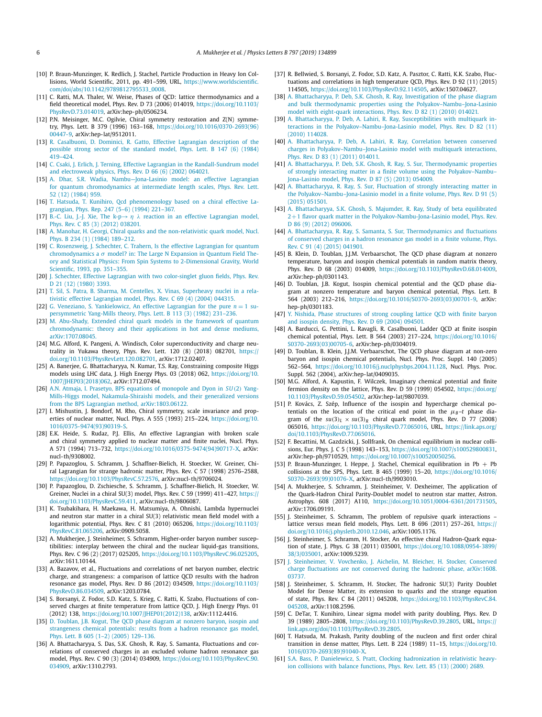- <span id="page-5-0"></span>[10] P. Braun-Munzinger, K. Redlich, J. Stachel, Particle Production in Heavy Ion Collisions, World Scientific, 2011, pp. 491–599, URL, [https://www.worldscientific.](https://www.worldscientific.com/doi/abs/10.1142/9789812795533_0008) [com/doi/abs/10.1142/9789812795533\\_0008](https://www.worldscientific.com/doi/abs/10.1142/9789812795533_0008).
- [11] C. Ratti, M.A. Thaler, W. Weise, Phases of OCD: lattice thermodynamics and a field theoretical model, Phys. Rev. D 73 (2006) 014019, [https://doi.org/10.1103/](https://doi.org/10.1103/PhysRevD.73.014019) [PhysRevD.73.014019,](https://doi.org/10.1103/PhysRevD.73.014019) arXiv:hep-ph/0506234.
- [12] P.N. Meisinger, M.C. Ogilvie, Chiral symmetry restoration and Z(N) symmetry, Phys. Lett. B 379 (1996) 163–168, [https://doi.org/10.1016/0370-2693\(96\)](https://doi.org/10.1016/0370-2693(96)00447-9) [00447-9,](https://doi.org/10.1016/0370-2693(96)00447-9) arXiv:hep-lat/9512011.
- [13] R. [Casalbuoni,](http://refhub.elsevier.com/S0370-2693(19)30621-5/bib436173616C62756F6E6931393834s1) D. Dominici, R. Gatto, Effective Lagrangian description of the possible strong sector of the [standard](http://refhub.elsevier.com/S0370-2693(19)30621-5/bib436173616C62756F6E6931393834s1) model, Phys. Lett. B 147 (6) (1984) [419–424.](http://refhub.elsevier.com/S0370-2693(19)30621-5/bib436173616C62756F6E6931393834s1)
- [14] C. Csaki, J. Erlich, J. Terning, Effective Lagrangian in the [Randall-Sundrum model](http://refhub.elsevier.com/S0370-2693(19)30621-5/bib4373616B6932303032s1) and [electroweak](http://refhub.elsevier.com/S0370-2693(19)30621-5/bib4373616B6932303032s1) physics, Phys. Rev. D 66 (6) (2002) 064021.
- [15] A. Dhar, S.R. Wadia, [Nambu—Jona-Lasinio model:](http://refhub.elsevier.com/S0370-2693(19)30621-5/bib4468617231393834s1) an effective Lagrangian for quantum [chromodynamics](http://refhub.elsevier.com/S0370-2693(19)30621-5/bib4468617231393834s1) at intermediate length scales, Phys. Rev. Lett. [52 \(12\)](http://refhub.elsevier.com/S0370-2693(19)30621-5/bib4468617231393834s1) (1984) 959.
- [16] T. Hatsuda, T. Kunihiro, Qcd [phenomenology](http://refhub.elsevier.com/S0370-2693(19)30621-5/bib4861747375646131393934s1) based on a chiral effective Lagrangian, Phys. Rep. [247 \(5–6\)](http://refhub.elsevier.com/S0370-2693(19)30621-5/bib4861747375646131393934s1) (1994) 221–367.
- [17] B.-C. Liu, J.-J. Xie, The k-p→ *η λ* reaction in an effective [Lagrangian](http://refhub.elsevier.com/S0370-2693(19)30621-5/bib4C697532303132s1) model, Phys. Rev. C 85 (3) (2012) [038201.](http://refhub.elsevier.com/S0370-2693(19)30621-5/bib4C697532303132s1)
- [18] A. Manohar, H. Georgi, Chiral quarks and the [non-relativistic](http://refhub.elsevier.com/S0370-2693(19)30621-5/bib4D616E6F68617231393834s1) quark model, Nucl. Phys. B 234 (1) (1984) [189–212.](http://refhub.elsevier.com/S0370-2693(19)30621-5/bib4D616E6F68617231393834s1)
- [19] C. [Rosenzweig,](http://refhub.elsevier.com/S0370-2693(19)30621-5/bib526F73656E7A7765696731393933s1) J. Schechter, C. Trahern, Is the effective Lagrangian for quantum [chromodynamics](http://refhub.elsevier.com/S0370-2693(19)30621-5/bib526F73656E7A7765696731393933s1) a *σ* model? in: The Large N Expansion in Quantum Field Theory and Statistical Physics: From Spin Systems to [2-Dimensional](http://refhub.elsevier.com/S0370-2693(19)30621-5/bib526F73656E7A7765696731393933s1) Gravity, World Scientific, 1993, [pp. 351–355.](http://refhub.elsevier.com/S0370-2693(19)30621-5/bib526F73656E7A7765696731393933s1)
- [20] J. Schechter, Effective Lagrangian with two [color-singlet](http://refhub.elsevier.com/S0370-2693(19)30621-5/bib53636865636874657231393830s1) gluon fields, Phys. Rev. D [21 \(12\)](http://refhub.elsevier.com/S0370-2693(19)30621-5/bib53636865636874657231393830s1) (1980) 3393.
- [21] T. Sil, S. Patra, B. Sharma, M. Centelles, X. Vinas, [Superheavy](http://refhub.elsevier.com/S0370-2693(19)30621-5/bib53696C32303034s1) nuclei in a relativistic effective [Lagrangian](http://refhub.elsevier.com/S0370-2693(19)30621-5/bib53696C32303034s1) model, Phys. Rev. C 69 (4) (2004) 044315.
- [22] G. Veneziano, S. [Yankielowicz,](http://refhub.elsevier.com/S0370-2693(19)30621-5/bib56656E657A69616E6F31393832s1) An effective Lagrangian for the pure  $n = 1$  su[persymmetric](http://refhub.elsevier.com/S0370-2693(19)30621-5/bib56656E657A69616E6F31393832s1) Yang-Mills theory, Phys. Lett. B 113 (3) (1982) 231–236.
- [23] M. [Abu-Shady,](http://refhub.elsevier.com/S0370-2693(19)30621-5/bib4162752D53686164793230313761s1) Extended chiral quark models in the framework of quantum [chromodynamic:](http://refhub.elsevier.com/S0370-2693(19)30621-5/bib4162752D53686164793230313761s1) theory and their applications in hot and dense mediums, [arXiv:1707.08045.](http://refhub.elsevier.com/S0370-2693(19)30621-5/bib4162752D53686164793230313761s1)
- [24] M.G. Alford, K. Pangeni, A. Windisch, Color superconductivity and charge neutrality in Yukawa theory, Phys. Rev. Lett. 120 (8) (2018) 082701, [https://](https://doi.org/10.1103/PhysRevLett.120.082701) [doi.org/10.1103/PhysRevLett.120.082701](https://doi.org/10.1103/PhysRevLett.120.082701), arXiv:1712.02407.
- [25] A. Banerjee, G. Bhattacharyya, N. Kumar, T.S. Ray, Constraining composite Higgs models using LHC data, J. High Energy Phys. 03 (2018) 062, [https://doi.org/10.](https://doi.org/10.1007/JHEP03(2018)062) [1007/JHEP03\(2018\)062](https://doi.org/10.1007/JHEP03(2018)062), arXiv:1712.07494.
- [26] A.N. Atmaja, I. Prasetyo, BPS equations of [monopole](http://refhub.elsevier.com/S0370-2693(19)30621-5/bib41746D616A6132303138s1) and Dyon in *SU(*2*)* Yang-Mills-Higgs model, [Nakamula-Shiraishi](http://refhub.elsevier.com/S0370-2693(19)30621-5/bib41746D616A6132303138s1) models, and their generalized versions from the BPS Lagrangian method, [arXiv:1803.06122.](http://refhub.elsevier.com/S0370-2693(19)30621-5/bib41746D616A6132303138s1)
- [27] I. Mishustin, J. Bondorf, M. Rho, Chiral symmetry, scale invariance and properties of nuclear matter, Nucl. Phys. A 555 (1993) 215-224, [https://doi.org/10.](https://doi.org/10.1016/0375-9474(93)90319-S) [1016/0375-9474\(93\)90319-S.](https://doi.org/10.1016/0375-9474(93)90319-S)
- [28] E.K. Heide, S. Rudaz, P.J. Ellis, An effective Lagrangian with broken scale and chiral symmetry applied to nuclear matter and finite nuclei, Nucl. Phys. A 571 (1994) 713–732, [https://doi.org/10.1016/0375-9474\(94\)90717-X,](https://doi.org/10.1016/0375-9474(94)90717-X) arXiv: nucl-th/9308002.
- [29] P. Papazoglou, S. Schramm, J. Schaffner-Bielich, H. Stoecker, W. Greiner, Chiral Lagrangian for strange hadronic matter, Phys. Rev. C 57 (1998) 2576–2588, <https://doi.org/10.1103/PhysRevC.57.2576>, arXiv:nucl-th/9706024.
- [30] P. Papazoglou, D. Zschiesche, S. Schramm, J. Schaffner-Bielich, H. Stoecker, W. Greiner, Nuclei in a chiral SU(3) model, Phys. Rev. C 59 (1999) 411–427, [https://](https://doi.org/10.1103/PhysRevC.59.411) [doi.org/10.1103/PhysRevC.59.411](https://doi.org/10.1103/PhysRevC.59.411), arXiv:nucl-th/9806087.
- [31] K. Tsubakihara, H. Maekawa, H. Matsumiya, A. Ohnishi, Lambda hypernuclei and neutron star matter in a chiral SU(3) relativistic mean field model with a logarithmic potential, Phys. Rev. C 81 (2010) 065206, [https://doi.org/10.1103/](https://doi.org/10.1103/PhysRevC.81.065206) [PhysRevC.81.065206](https://doi.org/10.1103/PhysRevC.81.065206), arXiv:0909.5058.
- [32] A. Mukherjee, J. Steinheimer, S. Schramm, Higher-order baryon number susceptibilities: interplay between the chiral and the nuclear liquid-gas transitions, Phys. Rev. C 96 (2) (2017) 025205, <https://doi.org/10.1103/PhysRevC.96.025205>, arXiv:1611.10144.
- [33] A. Bazavov, et al., Fluctuations and correlations of net baryon number, electric charge, and strangeness: a comparison of lattice QCD results with the hadron resonance gas model, Phys. Rev. D 86 (2012) 034509, [https://doi.org/10.1103/](https://doi.org/10.1103/PhysRevD.86.034509) [PhysRevD.86.034509,](https://doi.org/10.1103/PhysRevD.86.034509) arXiv:1203.0784.
- [34] S. Borsanyi, Z. Fodor, S.D. Katz, S. Krieg, C. Ratti, K. Szabo, Fluctuations of conserved charges at finite temperature from lattice QCD, J. High Energy Phys. 01 (2012) 138, [https://doi.org/10.1007/JHEP01\(2012\)138](https://doi.org/10.1007/JHEP01(2012)138), arXiv:1112.4416.
- [35] D. Toublan, J.B. Kogut, The [QCD phase](http://refhub.elsevier.com/S0370-2693(19)30621-5/bib746F75626C616E32303035716364s1) diagram at nonzero baryon, isospin and [strangeness](http://refhub.elsevier.com/S0370-2693(19)30621-5/bib746F75626C616E32303035716364s1) chemical potentials: results from a hadron resonance gas model, Phys. Lett. B [605 \(1–2\)](http://refhub.elsevier.com/S0370-2693(19)30621-5/bib746F75626C616E32303035716364s1) (2005) 129–136.
- [36] A. Bhattacharyya, S. Das, S.K. Ghosh, R. Ray, S. Samanta, Fluctuations and correlations of conserved charges in an excluded volume hadron resonance gas model, Phys. Rev. C 90 (3) (2014) 034909, [https://doi.org/10.1103/PhysRevC.90.](https://doi.org/10.1103/PhysRevC.90.034909) [034909,](https://doi.org/10.1103/PhysRevC.90.034909) arXiv:1310.2793.
- [37] R. Bellwied, S. Borsanyi, Z. Fodor, S.D. Katz, A. Pasztor, C. Ratti, K.K. Szabo, Fluctuations and correlations in high temperature QCD, Phys. Rev. D 92 (11) (2015) 114505, [https://doi.org/10.1103/PhysRevD.92.114505,](https://doi.org/10.1103/PhysRevD.92.114505) arXiv:1507.04627.
- [38] A. [Bhattacharyya,](http://refhub.elsevier.com/S0370-2693(19)30621-5/bib6268617474616368617279796132303130696E7665737469676174696F6Es1) P. Deb, S.K. Ghosh, R. Ray, Investigation of the phase diagram and bulk thermodynamic properties using the [Polyakov–Nambu–Jona-Lasinio](http://refhub.elsevier.com/S0370-2693(19)30621-5/bib6268617474616368617279796132303130696E7665737469676174696F6Es1) model with eight-quark [interactions,](http://refhub.elsevier.com/S0370-2693(19)30621-5/bib6268617474616368617279796132303130696E7665737469676174696F6Es1) Phys. Rev. D 82 (1) (2010) 014021.
- [39] A. Bhattacharyya, P. Deb, A. Lahiri, R. Ray, [Susceptibilities](http://refhub.elsevier.com/S0370-2693(19)30621-5/bib6268617474616368617279796132303130737573636570746962696C6974696573s1) with multiquark interactions in the [Polyakov–Nambu–Jona-Lasinio model,](http://refhub.elsevier.com/S0370-2693(19)30621-5/bib6268617474616368617279796132303130737573636570746962696C6974696573s1) Phys. Rev. D 82 (11) (2010) [114028.](http://refhub.elsevier.com/S0370-2693(19)30621-5/bib6268617474616368617279796132303130737573636570746962696C6974696573s1)
- [40] A. [Bhattacharyya,](http://refhub.elsevier.com/S0370-2693(19)30621-5/bib6268617474616368617279796132303131636F7272656C6174696F6Es1) P. Deb, A. Lahiri, R. Ray, Correlation between conserved charges in [Polyakov–Nambu–Jona-Lasinio model](http://refhub.elsevier.com/S0370-2693(19)30621-5/bib6268617474616368617279796132303131636F7272656C6174696F6Es1) with multiquark interactions, Phys. Rev. D 83 (1) (2011) [014011.](http://refhub.elsevier.com/S0370-2693(19)30621-5/bib6268617474616368617279796132303131636F7272656C6174696F6Es1)
- [41] A. Bhattacharyya, P. Deb, S.K. Ghosh, R. Ray, S. Sur, [Thermodynamic](http://refhub.elsevier.com/S0370-2693(19)30621-5/bib6268617474616368617279796132303133746865726D6F64796E616D6963s1) properties of strongly interacting matter in a finite volume using the [Polyakov–Nambu–](http://refhub.elsevier.com/S0370-2693(19)30621-5/bib6268617474616368617279796132303133746865726D6F64796E616D6963s1) [Jona-Lasinio model,](http://refhub.elsevier.com/S0370-2693(19)30621-5/bib6268617474616368617279796132303133746865726D6F64796E616D6963s1) Phys. Rev. D 87 (5) (2013) 054009.
- [42] A. [Bhattacharyya,](http://refhub.elsevier.com/S0370-2693(19)30621-5/bib6268617474616368617279796132303135666C756374756174696F6Es1) R. Ray, S. Sur, Fluctuation of strongly interacting matter in the [Polyakov–Nambu–Jona-Lasinio model](http://refhub.elsevier.com/S0370-2693(19)30621-5/bib6268617474616368617279796132303135666C756374756174696F6Es1) in a finite volume, Phys. Rev. D 91 (5) (2015) [051501.](http://refhub.elsevier.com/S0370-2693(19)30621-5/bib6268617474616368617279796132303135666C756374756174696F6Es1)
- [43] A. [Bhattacharyya,](http://refhub.elsevier.com/S0370-2693(19)30621-5/bib62686174746163686172797961323031327374756479s1) S.K. Ghosh, S. Majumder, R. Ray, Study of beta equilibrated 2+1 flavor quark matter in the [Polyakov-Nambu-Jona-Lasinio model,](http://refhub.elsevier.com/S0370-2693(19)30621-5/bib62686174746163686172797961323031327374756479s1) Phys. Rev. D 86 (9) (2012) [096006.](http://refhub.elsevier.com/S0370-2693(19)30621-5/bib62686174746163686172797961323031327374756479s1)
- [44] A. Bhattacharyya, R. Ray, S. Samanta, S. Sur, [Thermodynamics](http://refhub.elsevier.com/S0370-2693(19)30621-5/bib6268617474616368617279796132303135746865726D6F64796E616D696373s1) and fluctuations of [conserved](http://refhub.elsevier.com/S0370-2693(19)30621-5/bib6268617474616368617279796132303135746865726D6F64796E616D696373s1) charges in a hadron resonance gas model in a finite volume, Phys. Rev. C 91 (4) (2015) [041901.](http://refhub.elsevier.com/S0370-2693(19)30621-5/bib6268617474616368617279796132303135746865726D6F64796E616D696373s1)
- [45] B. Klein, D. Toublan, J.J.M. Verbaarschot, The QCD phase diagram at nonzero temperature, baryon and isospin chemical potentials in random matrix theory, Phys. Rev. D 68 (2003) 014009, <https://doi.org/10.1103/PhysRevD.68.014009>, arXiv:hep-ph/0301143.
- [46] D. Toublan, J.B. Kogut, Isospin chemical potential and the OCD phase diagram at nonzero temperature and baryon chemical potential, Phys. Lett. B 564 (2003) 212–216, [https://doi.org/10.1016/S0370-2693\(03\)00701-9,](https://doi.org/10.1016/S0370-2693(03)00701-9) arXiv: hep-ph/0301183.
- [47] Y. Nishida, Phase [structures](http://refhub.elsevier.com/S0370-2693(19)30621-5/bib6E697368696461323030346E697368696461s1) of strong coupling lattice QCD with finite baryon and isospin density, Phys. Rev. D 69 (2004) [094501.](http://refhub.elsevier.com/S0370-2693(19)30621-5/bib6E697368696461323030346E697368696461s1)
- [48] A. Barducci, G. Pettini, L. Ravagli, R. Casalbuoni, Ladder QCD at finite isospin chemical potential, Phys. Lett. B 564 (2003) 217–224, [https://doi.org/10.1016/](https://doi.org/10.1016/S0370-2693(03)00705-6) [S0370-2693\(03\)00705-6,](https://doi.org/10.1016/S0370-2693(03)00705-6) arXiv:hep-ph/0304019.
- [49] D. Toublan, B. Klein, J.J.M. Verbaarschot, The QCD phase diagram at non-zero baryon and isospin chemical potentials, Nucl. Phys. Proc. Suppl. 140 (2005) 562–564, <https://doi.org/10.1016/j.nuclphysbps.2004.11.128>, Nucl. Phys. Proc. Suppl. 562 (2004), arXiv:hep-lat/0409035.
- [50] M.G. Alford, A. Kapustin, F. Wilczek, Imaginary chemical potential and finite fermion density on the lattice, Phys. Rev. D 59 (1999) 054502, [https://doi.org/](https://doi.org/10.1103/PhysRevD.59.054502) [10.1103/PhysRevD.59.054502](https://doi.org/10.1103/PhysRevD.59.054502), arXiv:hep-lat/9807039.
- [51] P. Kovács, Z. Szép, Influence of the isospin and hypercharge chemical potentials on the location of the critical end point in the  $\mu_B$ -*t* phase diagram of the  $su(3)_L \times su(3)_R$  chiral quark model, Phys. Rev. D 77 (2008) 065016, [https://doi.org/10.1103/PhysRevD.77.065016,](https://doi.org/10.1103/PhysRevD.77.065016) URL, [https://link.aps.org/](https://link.aps.org/doi/10.1103/PhysRevD.77.065016) [doi/10.1103/PhysRevD.77.065016](https://link.aps.org/doi/10.1103/PhysRevD.77.065016).
- [52] F. Becattini, M. Gazdzicki, J. Sollfrank, On chemical equilibrium in nuclear collisions, Eur. Phys. J. C 5 (1998) 143–153, <https://doi.org/10.1007/s100529800831>, arXiv:hep-ph/9710529, [https://doi.org/10.1007/s100520050256.](https://doi.org/10.1007/s100520050256)
- [53] P. Braun-Munzinger, I. Heppe, J. Stachel, Chemical equilibration in Pb + Pb collisions at the SPS, Phys. Lett. B 465 (1999) 15–20, [https://doi.org/10.1016/](https://doi.org/10.1016/S0370-2693(99)01076-X) [S0370-2693\(99\)01076-X](https://doi.org/10.1016/S0370-2693(99)01076-X), arXiv:nucl-th/9903010.
- [54] A. Mukherjee, S. Schramm, J. Steinheimer, V. Dexheimer, The application of the Quark-Hadron Chiral Parity-Doublet model to neutron star matter, Astron. Astrophys. 608 (2017) A110, <https://doi.org/10.1051/0004-6361/201731505>, arXiv:1706.09191.
- [55] J. Steinheimer, S. Schramm, The problem of repulsive quark interactions lattice versus mean field models, Phys. Lett. B 696 (2011) 257–261, [https://](https://doi.org/10.1016/j.physletb.2010.12.046) [doi.org/10.1016/j.physletb.2010.12.046,](https://doi.org/10.1016/j.physletb.2010.12.046) arXiv:1005.1176.
- [56] J. Steinheimer, S. Schramm, H. Stocker, An effective chiral Hadron-Quark equation of state, J. Phys. G 38 (2011) 035001, [https://doi.org/10.1088/0954-3899/](https://doi.org/10.1088/0954-3899/38/3/035001) [38/3/035001](https://doi.org/10.1088/0954-3899/38/3/035001), arXiv:1009.5239.
- [57] J. [Steinheimer,](http://refhub.elsevier.com/S0370-2693(19)30621-5/bib537465696E6865696D65723A32303136636972s1) V. Vovchenko, J. Aichelin, M. Bleicher, H. Stocker, Conserved charge [fluctuations](http://refhub.elsevier.com/S0370-2693(19)30621-5/bib537465696E6865696D65723A32303136636972s1) are not conserved during the hadronic phase, arXiv:1608. [03737.](http://refhub.elsevier.com/S0370-2693(19)30621-5/bib537465696E6865696D65723A32303136636972s1)
- [58] J. Steinheimer, S. Schramm, H. Stocker, The hadronic SU(3) Parity Doublet Model for Dense Matter, its extension to quarks and the strange equation of state, Phys. Rev. C 84 (2011) 045208, [https://doi.org/10.1103/PhysRevC.84.](https://doi.org/10.1103/PhysRevC.84.045208) [045208,](https://doi.org/10.1103/PhysRevC.84.045208) arXiv:1108.2596.
- [59] C. DeTar, T. Kunihiro, Linear sigma model with parity doubling, Phys. Rev. D 39 (1989) 2805–2808, <https://doi.org/10.1103/PhysRevD.39.2805>, URL, [https://](https://link.aps.org/doi/10.1103/PhysRevD.39.2805) [link.aps.org/doi/10.1103/PhysRevD.39.2805.](https://link.aps.org/doi/10.1103/PhysRevD.39.2805)
- [60] T. Hatsuda, M. Prakash, Parity doubling of the nucleon and first order chiral transition in dense matter, Phys. Lett. B 224 (1989) 11-15, [https://doi.org/10.](https://doi.org/10.1016/0370-2693(89)91040-X) [1016/0370-2693\(89\)91040-X.](https://doi.org/10.1016/0370-2693(89)91040-X)
- [61] S.A. Bass, P. Danielewicz, S. Pratt, Clocking [hadronization](http://refhub.elsevier.com/S0370-2693(19)30621-5/bib6261737332303030636C6F636B696E67s1) in relativistic heavyion collisions with balance [functions,](http://refhub.elsevier.com/S0370-2693(19)30621-5/bib6261737332303030636C6F636B696E67s1) Phys. Rev. Lett. 85 (13) (2000) 2689.